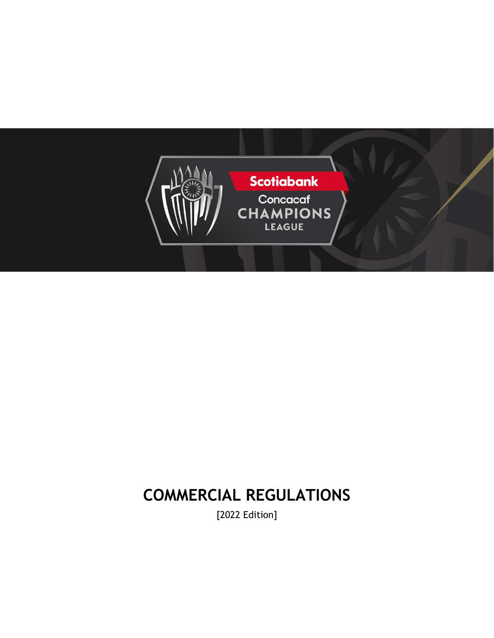

# **COMMERCIAL REGULATIONS**

[2022 Edition]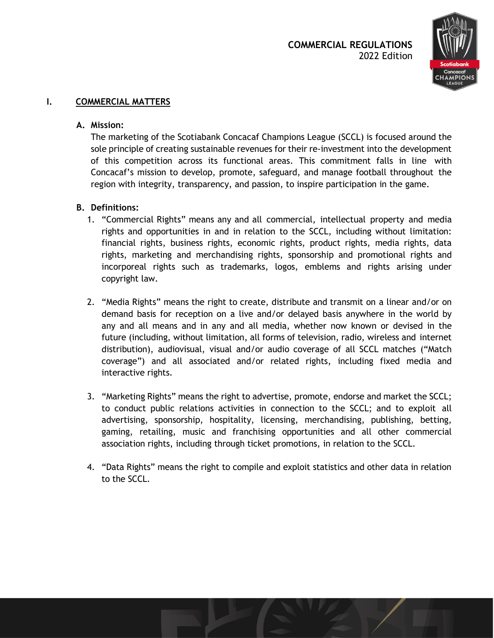

## **I. COMMERCIAL MATTERS**

#### **A. Mission:**

The marketing of the Scotiabank Concacaf Champions League (SCCL) is focused around the sole principle of creating sustainable revenues for their re-investment into the development of this competition across its functional areas. This commitment falls in line with Concacaf's mission to develop, promote, safeguard, and manage football throughout the region with integrity, transparency, and passion, to inspire participation in the game.

#### **B. Definitions:**

- 1. "Commercial Rights" means any and all commercial, intellectual property and media rights and opportunities in and in relation to the SCCL, including without limitation: financial rights, business rights, economic rights, product rights, media rights, data rights, marketing and merchandising rights, sponsorship and promotional rights and incorporeal rights such as trademarks, logos, emblems and rights arising under copyright law.
- 2. "Media Rights" means the right to create, distribute and transmit on a linear and/or on demand basis for reception on a live and/or delayed basis anywhere in the world by any and all means and in any and all media, whether now known or devised in the future (including, without limitation, all forms of television, radio, wireless and internet distribution), audiovisual, visual and/or audio coverage of all SCCL matches ("Match coverage") and all associated and/or related rights, including fixed media and interactive rights.
- 3. "Marketing Rights" means the right to advertise, promote, endorse and market the SCCL; to conduct public relations activities in connection to the SCCL; and to exploit all advertising, sponsorship, hospitality, licensing, merchandising, publishing, betting, gaming, retailing, music and franchising opportunities and all other commercial association rights, including through ticket promotions, in relation to the SCCL.
- 4. "Data Rights" means the right to compile and exploit statistics and other data in relation to the SCCL.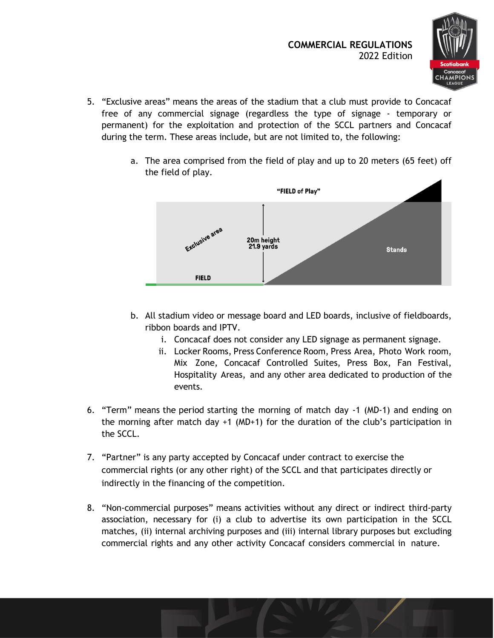

- 5. "Exclusive areas" means the areas of the stadium that a club must provide to Concacaf free of any commercial signage (regardless the type of signage - temporary or permanent) for the exploitation and protection of the SCCL partners and Concacaf during the term. These areas include, but are not limited to, the following:
	- a. The area comprised from the field of play and up to 20 meters (65 feet) off the field of play.



- b. All stadium video or message board and LED boards, inclusive of fieldboards, ribbon boards and IPTV.
	- i. Concacaf does not consider any LED signage as permanent signage.
	- ii. Locker Rooms, Press Conference Room, Press Area, Photo Work room, Mix Zone, Concacaf Controlled Suites, Press Box, Fan Festival, Hospitality Areas, and any other area dedicated to production of the events.
- 6. "Term" means the period starting the morning of match day -1 (MD-1) and ending on the morning after match day +1 (MD+1) for the duration of the club's participation in the SCCL.
- 7. "Partner" is any party accepted by Concacaf under contract to exercise the commercial rights (or any other right) of the SCCL and that participates directly or indirectly in the financing of the competition.
- 8. "Non-commercial purposes" means activities without any direct or indirect third-party association, necessary for (i) a club to advertise its own participation in the SCCL matches, (ii) internal archiving purposes and (iii) internal library purposes but excluding commercial rights and any other activity Concacaf considers commercial in nature.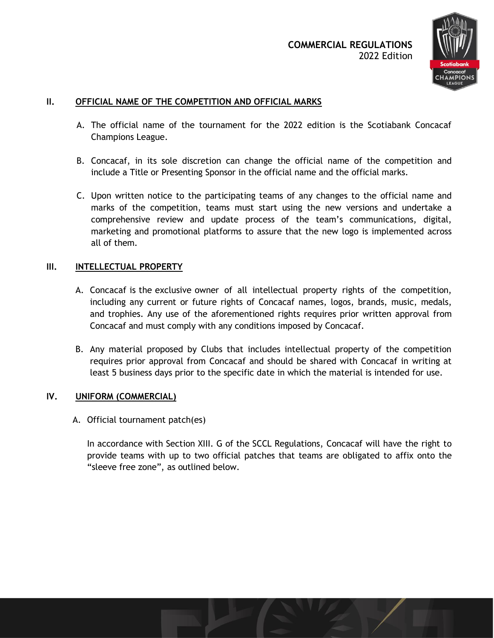

# **II. OFFICIAL NAME OF THE COMPETITION AND OFFICIAL MARKS**

- A. The official name of the tournament for the 2022 edition is the Scotiabank Concacaf Champions League.
- B. Concacaf, in its sole discretion can change the official name of the competition and include a Title or Presenting Sponsor in the official name and the official marks.
- C. Upon written notice to the participating teams of any changes to the official name and marks of the competition, teams must start using the new versions and undertake a comprehensive review and update process of the team's communications, digital, marketing and promotional platforms to assure that the new logo is implemented across all of them.

#### **III. INTELLECTUAL PROPERTY**

- A. Concacaf is the exclusive owner of all intellectual property rights of the competition, including any current or future rights of Concacaf names, logos, brands, music, medals, and trophies. Any use of the aforementioned rights requires prior written approval from Concacaf and must comply with any conditions imposed by Concacaf.
- B. Any material proposed by Clubs that includes intellectual property of the competition requires prior approval from Concacaf and should be shared with Concacaf in writing at least 5 business days prior to the specific date in which the material is intended for use.

#### **IV. UNIFORM (COMMERCIAL)**

A. Official tournament patch(es)

In accordance with Section XIII. G of the SCCL Regulations, Concacaf will have the right to provide teams with up to two official patches that teams are obligated to affix onto the "sleeve free zone", as outlined below.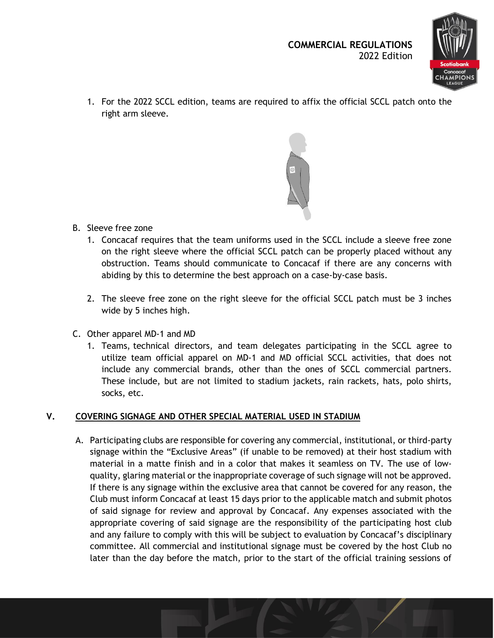

1. For the 2022 SCCL edition, teams are required to affix the official SCCL patch onto the right arm sleeve.



- B. Sleeve free zone
	- 1. Concacaf requires that the team uniforms used in the SCCL include a sleeve free zone on the right sleeve where the official SCCL patch can be properly placed without any obstruction. Teams should communicate to Concacaf if there are any concerns with abiding by this to determine the best approach on a case-by-case basis.
	- 2. The sleeve free zone on the right sleeve for the official SCCL patch must be 3 inches wide by 5 inches high.
- C. Other apparel MD-1 and MD
	- 1. Teams, technical directors, and team delegates participating in the SCCL agree to utilize team official apparel on MD-1 and MD official SCCL activities, that does not include any commercial brands, other than the ones of SCCL commercial partners. These include, but are not limited to stadium jackets, rain rackets, hats, polo shirts, socks, etc.

# **V. COVERING SIGNAGE AND OTHER SPECIAL MATERIAL USED IN STADIUM**

A. Participating clubs are responsible for covering any commercial, institutional, or third-party signage within the "Exclusive Areas" (if unable to be removed) at their host stadium with material in a matte finish and in a color that makes it seamless on TV. The use of lowquality, glaring material or the inappropriate coverage of such signage will not be approved. If there is any signage within the exclusive area that cannot be covered for any reason, the Club must inform Concacaf at least 15 days prior to the applicable match and submit photos of said signage for review and approval by Concacaf. Any expenses associated with the appropriate covering of said signage are the responsibility of the participating host club and any failure to comply with this will be subject to evaluation by Concacaf's disciplinary committee. All commercial and institutional signage must be covered by the host Club no later than the day before the match, prior to the start of the official training sessions of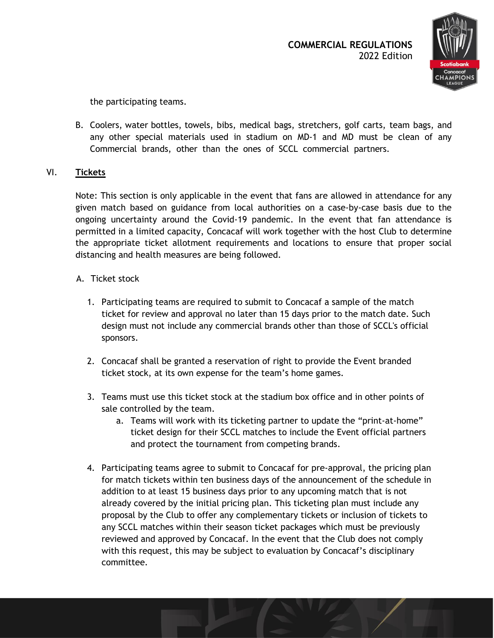

the participating teams.

B. Coolers, water bottles, towels, bibs, medical bags, stretchers, golf carts, team bags, and any other special materials used in stadium on MD-1 and MD must be clean of any Commercial brands, other than the ones of SCCL commercial partners.

## VI. **Tickets**

Note: This section is only applicable in the event that fans are allowed in attendance for any given match based on guidance from local authorities on a case-by-case basis due to the ongoing uncertainty around the Covid-19 pandemic. In the event that fan attendance is permitted in a limited capacity, Concacaf will work together with the host Club to determine the appropriate ticket allotment requirements and locations to ensure that proper social distancing and health measures are being followed.

## A. Ticket stock

- 1. Participating teams are required to submit to Concacaf a sample of the match ticket for review and approval no later than 15 days prior to the match date. Such design must not include any commercial brands other than those of SCCL's official sponsors.
- 2. Concacaf shall be granted a reservation of right to provide the Event branded ticket stock, at its own expense for the team's home games.
- 3. Teams must use this ticket stock at the stadium box office and in other points of sale controlled by the team.
	- a. Teams will work with its ticketing partner to update the "print-at-home" ticket design for their SCCL matches to include the Event official partners and protect the tournament from competing brands.
- 4. Participating teams agree to submit to Concacaf for pre-approval, the pricing plan for match tickets within ten business days of the announcement of the schedule in addition to at least 15 business days prior to any upcoming match that is not already covered by the initial pricing plan. This ticketing plan must include any proposal by the Club to offer any complementary tickets or inclusion of tickets to any SCCL matches within their season ticket packages which must be previously reviewed and approved by Concacaf. In the event that the Club does not comply with this request, this may be subject to evaluation by Concacaf's disciplinary committee.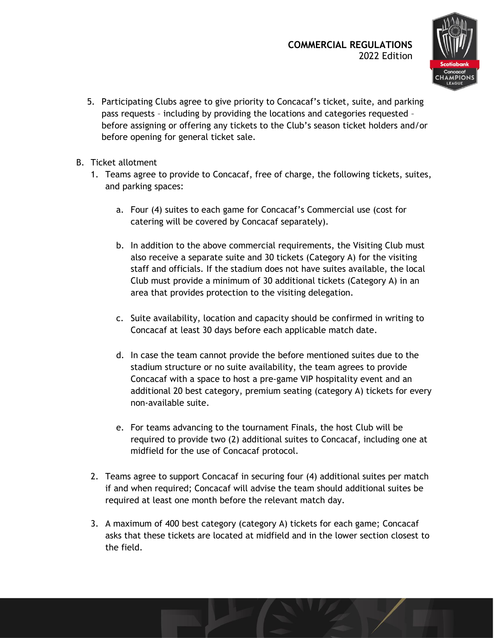

- 5. Participating Clubs agree to give priority to Concacaf's ticket, suite, and parking pass requests – including by providing the locations and categories requested – before assigning or offering any tickets to the Club's season ticket holders and/or before opening for general ticket sale.
- B. Ticket allotment
	- 1. Teams agree to provide to Concacaf, free of charge, the following tickets, suites, and parking spaces:
		- a. Four (4) suites to each game for Concacaf's Commercial use (cost for catering will be covered by Concacaf separately).
		- b. In addition to the above commercial requirements, the Visiting Club must also receive a separate suite and 30 tickets (Category A) for the visiting staff and officials. If the stadium does not have suites available, the local Club must provide a minimum of 30 additional tickets (Category A) in an area that provides protection to the visiting delegation.
		- c. Suite availability, location and capacity should be confirmed in writing to Concacaf at least 30 days before each applicable match date.
		- d. In case the team cannot provide the before mentioned suites due to the stadium structure or no suite availability, the team agrees to provide Concacaf with a space to host a pre-game VIP hospitality event and an additional 20 best category, premium seating (category A) tickets for every non-available suite.
		- e. For teams advancing to the tournament Finals, the host Club will be required to provide two (2) additional suites to Concacaf, including one at midfield for the use of Concacaf protocol.
	- 2. Teams agree to support Concacaf in securing four (4) additional suites per match if and when required; Concacaf will advise the team should additional suites be required at least one month before the relevant match day.
	- 3. A maximum of 400 best category (category A) tickets for each game; Concacaf asks that these tickets are located at midfield and in the lower section closest to the field.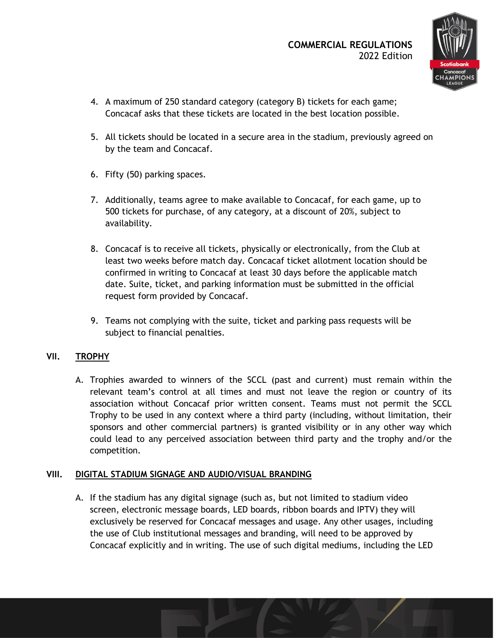

- 4. A maximum of 250 standard category (category B) tickets for each game; Concacaf asks that these tickets are located in the best location possible.
- 5. All tickets should be located in a secure area in the stadium, previously agreed on by the team and Concacaf.
- 6. Fifty (50) parking spaces.
- 7. Additionally, teams agree to make available to Concacaf, for each game, up to 500 tickets for purchase, of any category, at a discount of 20%, subject to availability.
- 8. Concacaf is to receive all tickets, physically or electronically, from the Club at least two weeks before match day. Concacaf ticket allotment location should be confirmed in writing to Concacaf at least 30 days before the applicable match date. Suite, ticket, and parking information must be submitted in the official request form provided by Concacaf.
- 9. Teams not complying with the suite, ticket and parking pass requests will be subject to financial penalties.

# **VII. TROPHY**

A. Trophies awarded to winners of the SCCL (past and current) must remain within the relevant team's control at all times and must not leave the region or country of its association without Concacaf prior written consent. Teams must not permit the SCCL Trophy to be used in any context where a third party (including, without limitation, their sponsors and other commercial partners) is granted visibility or in any other way which could lead to any perceived association between third party and the trophy and/or the competition.

# **VIII. DIGITAL STADIUM SIGNAGE AND AUDIO/VISUAL BRANDING**

A. If the stadium has any digital signage (such as, but not limited to stadium video screen, electronic message boards, LED boards, ribbon boards and IPTV) they will exclusively be reserved for Concacaf messages and usage. Any other usages, including the use of Club institutional messages and branding, will need to be approved by Concacaf explicitly and in writing. The use of such digital mediums, including the LED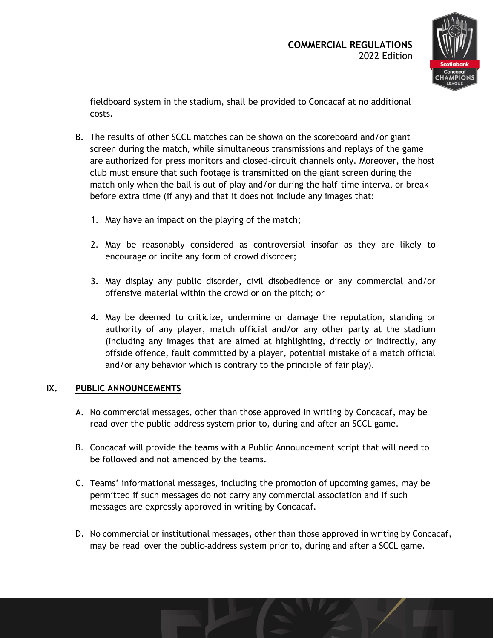

fieldboard system in the stadium, shall be provided to Concacaf at no additional costs.

- B. The results of other SCCL matches can be shown on the scoreboard and/or giant screen during the match, while simultaneous transmissions and replays of the game are authorized for press monitors and closed-circuit channels only. Moreover, the host club must ensure that such footage is transmitted on the giant screen during the match only when the ball is out of play and/or during the half-time interval or break before extra time (if any) and that it does not include any images that:
	- 1. May have an impact on the playing of the match;
	- 2. May be reasonably considered as controversial insofar as they are likely to encourage or incite any form of crowd disorder;
	- 3. May display any public disorder, civil disobedience or any commercial and/or offensive material within the crowd or on the pitch; or
	- 4. May be deemed to criticize, undermine or damage the reputation, standing or authority of any player, match official and/or any other party at the stadium (including any images that are aimed at highlighting, directly or indirectly, any offside offence, fault committed by a player, potential mistake of a match official and/or any behavior which is contrary to the principle of fair play).

#### **IX. PUBLIC ANNOUNCEMENTS**

- A. No commercial messages, other than those approved in writing by Concacaf, may be read over the public-address system prior to, during and after an SCCL game.
- B. Concacaf will provide the teams with a Public Announcement script that will need to be followed and not amended by the teams.
- C. Teams' informational messages, including the promotion of upcoming games, may be permitted if such messages do not carry any commercial association and if such messages are expressly approved in writing by Concacaf.
- D. No commercial or institutional messages, other than those approved in writing by Concacaf, may be read over the public-address system prior to, during and after a SCCL game.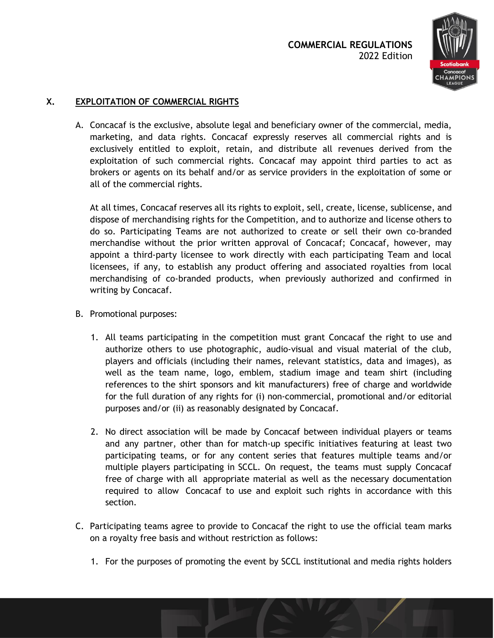

# **X. EXPLOITATION OF COMMERCIAL RIGHTS**

A. Concacaf is the exclusive, absolute legal and beneficiary owner of the commercial, media, marketing, and data rights. Concacaf expressly reserves all commercial rights and is exclusively entitled to exploit, retain, and distribute all revenues derived from the exploitation of such commercial rights. Concacaf may appoint third parties to act as brokers or agents on its behalf and/or as service providers in the exploitation of some or all of the commercial rights.

At all times, Concacaf reserves all its rights to exploit, sell, create, license, sublicense, and dispose of merchandising rights for the Competition, and to authorize and license others to do so. Participating Teams are not authorized to create or sell their own co-branded merchandise without the prior written approval of Concacaf; Concacaf, however, may appoint a third-party licensee to work directly with each participating Team and local licensees, if any, to establish any product offering and associated royalties from local merchandising of co-branded products, when previously authorized and confirmed in writing by Concacaf.

- B. Promotional purposes:
	- 1. All teams participating in the competition must grant Concacaf the right to use and authorize others to use photographic, audio-visual and visual material of the club, players and officials (including their names, relevant statistics, data and images), as well as the team name, logo, emblem, stadium image and team shirt (including references to the shirt sponsors and kit manufacturers) free of charge and worldwide for the full duration of any rights for (i) non-commercial, promotional and/or editorial purposes and/or (ii) as reasonably designated by Concacaf.
	- 2. No direct association will be made by Concacaf between individual players or teams and any partner, other than for match-up specific initiatives featuring at least two participating teams, or for any content series that features multiple teams and/or multiple players participating in SCCL. On request, the teams must supply Concacaf free of charge with all appropriate material as well as the necessary documentation required to allow Concacaf to use and exploit such rights in accordance with this section.
- C. Participating teams agree to provide to Concacaf the right to use the official team marks on a royalty free basis and without restriction as follows:
	- 1. For the purposes of promoting the event by SCCL institutional and media rights holders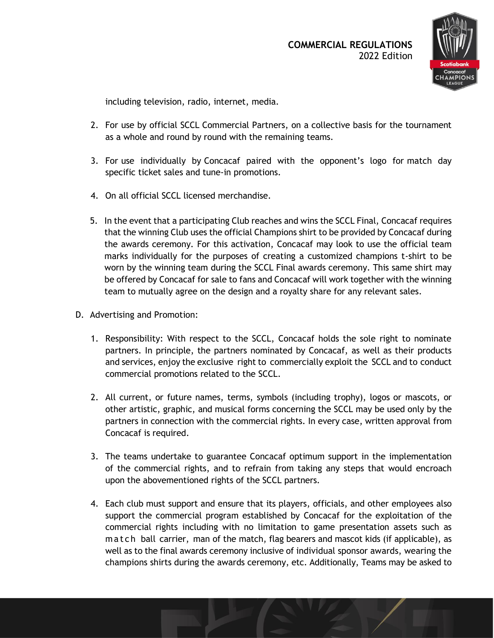

including television, radio, internet, media.

- 2. For use by official SCCL Commercial Partners, on a collective basis for the tournament as a whole and round by round with the remaining teams.
- 3. For use individually by Concacaf paired with the opponent's logo for match day specific ticket sales and tune-in promotions.
- 4. On all official SCCL licensed merchandise.
- 5. In the event that a participating Club reaches and wins the SCCL Final, Concacaf requires that the winning Club uses the official Champions shirt to be provided by Concacaf during the awards ceremony. For this activation, Concacaf may look to use the official team marks individually for the purposes of creating a customized champions t-shirt to be worn by the winning team during the SCCL Final awards ceremony. This same shirt may be offered by Concacaf for sale to fans and Concacaf will work together with the winning team to mutually agree on the design and a royalty share for any relevant sales.
- D. Advertising and Promotion:
	- 1. Responsibility: With respect to the SCCL, Concacaf holds the sole right to nominate partners. In principle, the partners nominated by Concacaf, as well as their products and services, enjoy the exclusive right to commercially exploit the SCCL and to conduct commercial promotions related to the SCCL.
	- 2. All current, or future names, terms, symbols (including trophy), logos or mascots, or other artistic, graphic, and musical forms concerning the SCCL may be used only by the partners in connection with the commercial rights. In every case, written approval from Concacaf is required.
	- 3. The teams undertake to guarantee Concacaf optimum support in the implementation of the commercial rights, and to refrain from taking any steps that would encroach upon the abovementioned rights of the SCCL partners.
	- 4. Each club must support and ensure that its players, officials, and other employees also support the commercial program established by Concacaf for the exploitation of the commercial rights including with no limitation to game presentation assets such as mat ch ball carrier, man of the match, flag bearers and mascot kids (if applicable), as well as to the final awards ceremony inclusive of individual sponsor awards, wearing the champions shirts during the awards ceremony, etc. Additionally, Teams may be asked to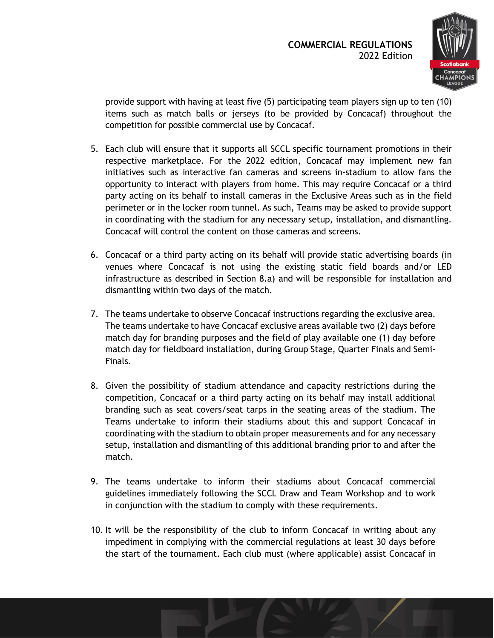

provide support with having at least five (5) participating team players sign up to ten (10) items such as match balls or jerseys (to be provided by Concacaf) throughout the competition for possible commercial use by Concacaf.

- 5. Each club will ensure that it supports all SCCL specific tournament promotions in their respective marketplace. For the 2022 edition, Concacaf may implement new fan initiatives such as interactive fan cameras and screens in-stadium to allow fans the opportunity to interact with players from home. This may require Concacaf or a third party acting on its behalf to install cameras in the Exclusive Areas such as in the field perimeter or in the locker room tunnel. As such, Teams may be asked to provide support in coordinating with the stadium for any necessary setup, installation, and dismantling. Concacaf will control the content on those cameras and screens.
- 6. Concacaf or a third party acting on its behalf will provide static advertising boards (in venues where Concacaf is not using the existing static field boards and/or LED infrastructure as described in Section 8.a) and will be responsible for installation and dismantling within two days of the match.
- 7. The teams undertake to observe Concacaf instructions regarding the exclusive area. The teams undertake to have Concacaf exclusive areas available two (2) days before match day for branding purposes and the field of play available one (1) day before match day for fieldboard installation, during Group Stage, Quarter Finals and Semi-Finals.
- 8. Given the possibility of stadium attendance and capacity restrictions during the competition, Concacaf or a third party acting on its behalf may install additional branding such as seat covers/seat tarps in the seating areas of the stadium. The Teams undertake to inform their stadiums about this and support Concacaf in coordinating with the stadium to obtain proper measurements and for any necessary setup, installation and dismantling of this additional branding prior to and after the match.
- 9. The teams undertake to inform their stadiums about Concacaf commercial guidelines immediately following the SCCL Draw and Team Workshop and to work in conjunction with the stadium to comply with these requirements.
- 10. It will be the responsibility of the club to inform Concacaf in writing about any impediment in complying with the commercial regulations at least 30 days before the start of the tournament. Each club must (where applicable) assist Concacaf in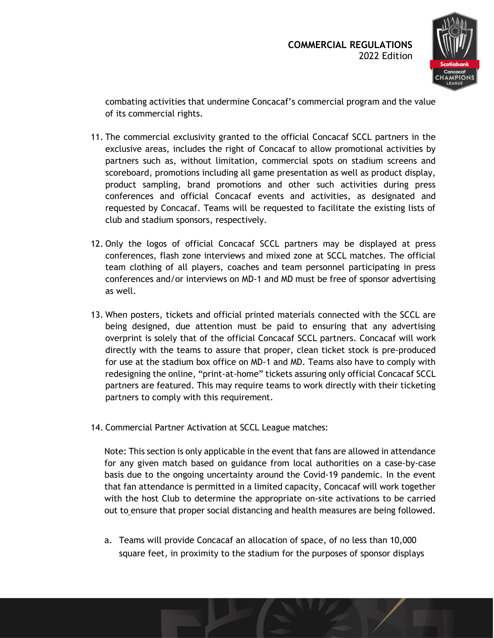

combating activities that undermine Concacaf's commercial program and the value of its commercial rights.

- 11. The commercial exclusivity granted to the official Concacaf SCCL partners in the exclusive areas, includes the right of Concacaf to allow promotional activities by partners such as, without limitation, commercial spots on stadium screens and scoreboard, promotions including all game presentation as well as product display, product sampling, brand promotions and other such activities during press conferences and official Concacaf events and activities, as designated and requested by Concacaf. Teams will be requested to facilitate the existing lists of club and stadium sponsors, respectively.
- 12. Only the logos of official Concacaf SCCL partners may be displayed at press conferences, flash zone interviews and mixed zone at SCCL matches. The official team clothing of all players, coaches and team personnel participating in press conferences and/or interviews on MD-1 and MD must be free of sponsor advertising as well.
- 13. When posters, tickets and official printed materials connected with the SCCL are being designed, due attention must be paid to ensuring that any advertising overprint is solely that of the official Concacaf SCCL partners. Concacaf will work directly with the teams to assure that proper, clean ticket stock is pre-produced for use at the stadium box office on MD-1 and MD. Teams also have to comply with redesigning the online, "print-at-home" tickets assuring only official Concacaf SCCL partners are featured. This may require teams to work directly with their ticketing partners to comply with this requirement.
- 14. Commercial Partner Activation at SCCL League matches:

Note: This section is only applicable in the event that fans are allowed in attendance for any given match based on guidance from local authorities on a case-by-case basis due to the ongoing uncertainty around the Covid-19 pandemic. In the event that fan attendance is permitted in a limited capacity, Concacaf will work together with the host Club to determine the appropriate on-site activations to be carried out to ensure that proper social distancing and health measures are being followed.

a. Teams will provide Concacaf an allocation of space, of no less than 10,000 square feet, in proximity to the stadium for the purposes of sponsor displays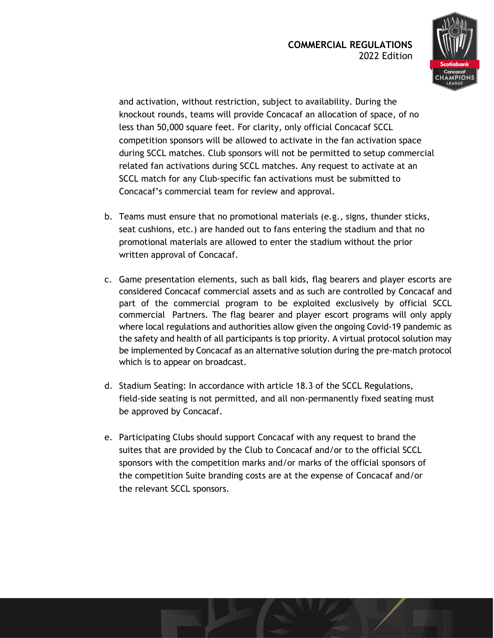

and activation, without restriction, subject to availability. During the knockout rounds, teams will provide Concacaf an allocation of space, of no less than 50,000 square feet. For clarity, only official Concacaf SCCL competition sponsors will be allowed to activate in the fan activation space during SCCL matches. Club sponsors will not be permitted to setup commercial related fan activations during SCCL matches. Any request to activate at an SCCL match for any Club-specific fan activations must be submitted to Concacaf's commercial team for review and approval.

- b. Teams must ensure that no promotional materials (e.g., signs, thunder sticks, seat cushions, etc.) are handed out to fans entering the stadium and that no promotional materials are allowed to enter the stadium without the prior written approval of Concacaf.
- c. Game presentation elements, such as ball kids, flag bearers and player escorts are considered Concacaf commercial assets and as such are controlled by Concacaf and part of the commercial program to be exploited exclusively by official SCCL commercial Partners. The flag bearer and player escort programs will only apply where local regulations and authorities allow given the ongoing Covid-19 pandemic as the safety and health of all participants is top priority. A virtual protocol solution may be implemented by Concacaf as an alternative solution during the pre-match protocol which is to appear on broadcast.
- d. Stadium Seating: In accordance with article 18.3 of the SCCL Regulations, field-side seating is not permitted, and all non-permanently fixed seating must be approved by Concacaf.
- e. Participating Clubs should support Concacaf with any request to brand the suites that are provided by the Club to Concacaf and/or to the official SCCL sponsors with the competition marks and/or marks of the official sponsors of the competition Suite branding costs are at the expense of Concacaf and/or the relevant SCCL sponsors.